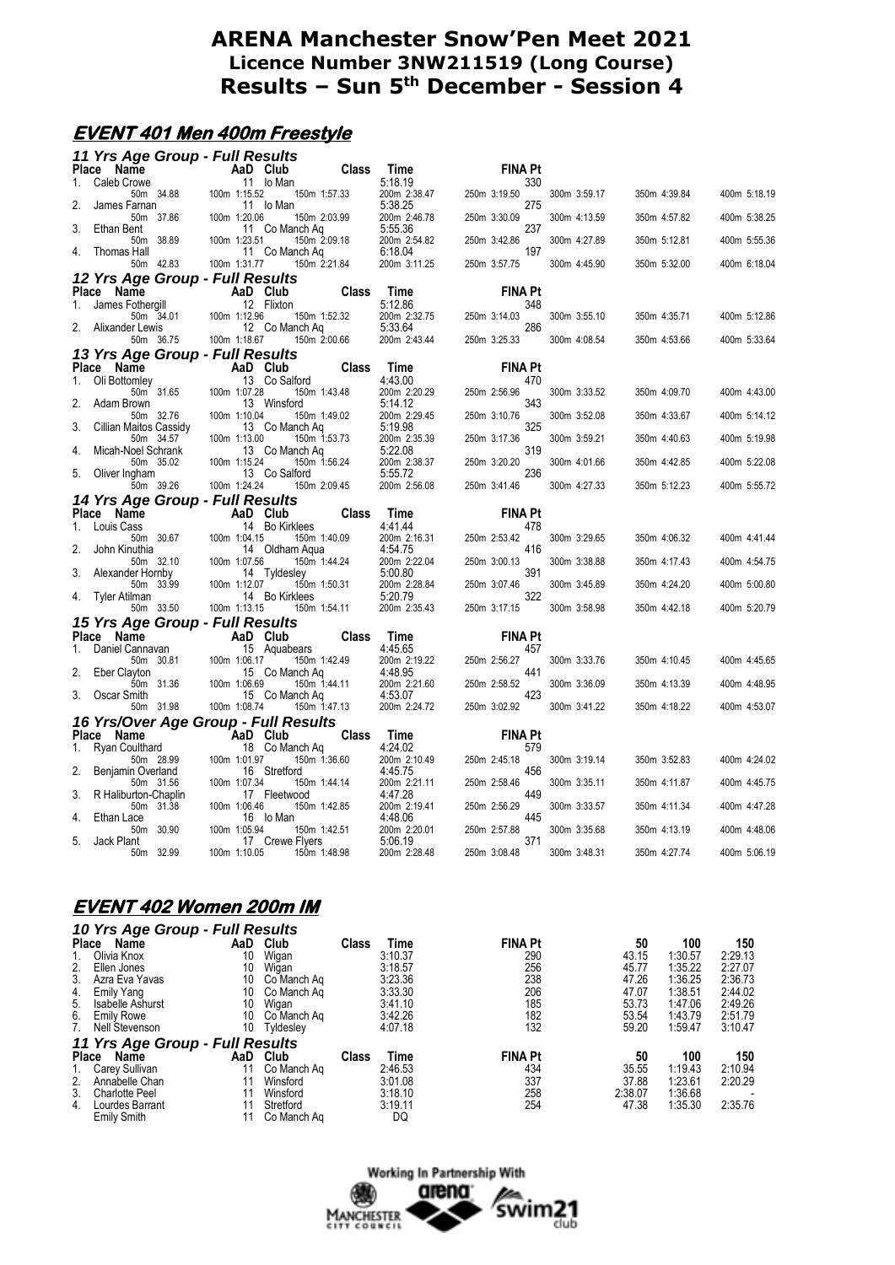#### **EVENT 401 Men 400m Freestyle**

|    |                                | 11 Yrs Age Group - Full Results              |              |                 |              |                         |                       |              |              |              |
|----|--------------------------------|----------------------------------------------|--------------|-----------------|--------------|-------------------------|-----------------------|--------------|--------------|--------------|
|    | Place Name                     | <b>Example 2</b> AaD Club                    |              |                 | <b>Class</b> | Time                    | <b>FINA Pt</b>        |              |              |              |
| 1. | Caleb Crowe                    | 50m 34.88                                    | 100m 1:15.52 | 11 Io Man       | 150m 1:57.33 | 5:18.19<br>200m 2:38.47 | 330<br>250m 3:19.50   | 300m 3:59.17 | 350m 4:39.84 | 400m 5:18.19 |
| 2. | James Farnan                   |                                              |              | 11 lo Man       |              | 5:38.25                 | 275                   |              |              |              |
|    |                                | 50m 37.86                                    | 100m 1:20.06 |                 | 150m 2:03.99 | 200m 2:46.78            | 250m 3:30.09          | 300m 4:13.59 | 350m 4:57.82 | 400m 5:38.25 |
| 3. | Ethan Bent                     | 50m 38.89                                    | 100m 1:23.51 | 11 Co Manch Ag  | 150m 2:09.18 | 5:55.36<br>200m 2:54.82 | 237<br>250m 3:42.86   | 300m 4:27.89 | 350m 5:12.81 | 400m 5:55.36 |
|    | 4. Thomas Hall                 |                                              |              | 11 Co Manch Aq  |              | 6:18.04                 | 197                   |              |              |              |
|    |                                | 50m 42.83                                    | 100m 1:31.77 |                 | 150m 2:21.84 | 200m 3:11.25            | 250m 3:57.75          | 300m 4:45.90 | 350m 5:32.00 | 400m 6:18.04 |
|    |                                | 12 Yrs Age Group - Full Results              |              |                 |              |                         |                       |              |              |              |
| 1. | Place Name<br>James Fothergill | AaD Club                                     |              | 12 Flixton      | <b>Class</b> | Time<br>5:12.86         | <b>FINA Pt</b><br>348 |              |              |              |
|    |                                | 50m 34.01                                    | 100m 1:12.96 |                 | 150m 1:52.32 | 200m 2:32.75            | 250m 3:14.03          | 300m 3:55.10 | 350m 4:35.71 | 400m 5:12.86 |
|    | 2. Alixander Lewis             |                                              |              | 12 Co Manch Ag  |              | 5:33.64                 | 286                   |              |              |              |
|    |                                | 50m 36.75                                    | 100m 1:18.67 |                 | 150m 2:00.66 | 200m 2:43.44            | 250m 3:25.33          | 300m 4:08.54 | 350m 4:53.66 | 400m 5:33.64 |
|    | Place Name                     | 13 Yrs Age Group - Full Results<br>AaD Club  |              |                 | <b>Class</b> | Time                    | <b>FINA Pt</b>        |              |              |              |
| 1. | Oli Bottomley                  |                                              |              | 13 Co Salford   |              | 4:43.00                 | 470                   |              |              |              |
| 2. |                                | 50m 31.65                                    | 100m 1:07.28 |                 | 150m 1:43.48 | 200m 2:20.29            | 250m 2:56.96          | 300m 3:33.52 | 350m 4:09.70 | 400m 4:43.00 |
|    | Adam Brown                     | 50m 32.76                                    | 100m 1:10.04 | 13 Winsford     | 150m 1:49.02 | 5:14.12<br>200m 2:29.45 | 343<br>250m 3:10.76   | 300m 3:52.08 | 350m 4:33.67 | 400m 5:14.12 |
| 3. | Cillian Maitos Cassidy         |                                              |              | 13 Co Manch Ag  |              | 5:19.98                 | 325                   |              |              |              |
| 4. | Micah-Noel Schrank             | 50m 34.57                                    | 100m 1:13.00 | 13 Co Manch Ag  | 150m 1:53.73 | 200m 2:35.39<br>5:22.08 | 250m 3:17.36<br>319   | 300m 3:59.21 | 350m 4:40.63 | 400m 5:19.98 |
|    |                                | 50m 35.02                                    | 100m 1:15.24 |                 | 150m 1:56.24 | 200m 2:38.37            | 250m 3:20.20          | 300m 4:01.66 | 350m 4:42.85 | 400m 5:22.08 |
| 5. | Oliver Ingham                  |                                              |              | 13 Co Salford   |              | 5:55.72                 | 236                   |              |              |              |
|    |                                | 50m 39.26<br>14 Yrs Age Group - Full Results | 100m 1:24.24 |                 | 150m 2:09.45 | 200m 2:56.08            | 250m 3:41.46          | 300m 4:27.33 | 350m 5:12.23 | 400m 5:55.72 |
|    | Place Name                     | <b>Example 2</b> AaD Club                    |              |                 | <b>Class</b> | Time                    | <b>FINA Pt</b>        |              |              |              |
| 1. | Louis Cass                     |                                              |              | 14 Bo Kirklees  |              | 4:41.44                 | 478                   |              |              |              |
| 2. | John Kinuthia                  | 50m 30.67                                    | 100m 1:04.15 | 14 Oldham Aqua  | 150m 1:40.09 | 200m 2:16.31<br>4:54.75 | 250m 2:53.42<br>416   | 300m 3:29.65 | 350m 4:06.32 | 400m 4:41.44 |
|    |                                | 50m 32.10                                    | 100m 1:07.56 |                 | 150m 1:44.24 | 200m 2:22.04            | 250m 3:00.13          | 300m 3:38.88 | 350m 4:17.43 | 400m 4:54.75 |
| 3. | Alexander Hornby               |                                              |              | 14 Tyldesley    |              | 5:00.80                 | 391                   |              |              |              |
|    | 4. Tyler Atilman               | 50m 33.99                                    | 100m 1:12.07 | 14 Bo Kirklees  | 150m 1:50.31 | 200m 2:28.84<br>5:20.79 | 250m 3:07.46<br>322   | 300m 3:45.89 | 350m 4:24.20 | 400m 5:00.80 |
|    |                                | 50m 33.50                                    | 100m 1:13.15 |                 | 150m 1:54.11 | 200m 2:35.43            | 250m 3:17.15          | 300m 3:58.98 | 350m 4:42.18 | 400m 5:20.79 |
|    |                                | 15 Yrs Age Group - Full Results              |              |                 |              |                         |                       |              |              |              |
| 1. | Place Name<br>Daniel Cannavan  |                                              | AaD Club     | 15 Aquabears    | <b>Class</b> | Time<br>4:45.65         | <b>FINA Pt</b><br>457 |              |              |              |
|    |                                | 50m 30.81                                    | 100m 1:06.17 |                 | 150m 1:42.49 | 200m 2:19.22            | 250m 2:56.27          | 300m 3:33.76 | 350m 4:10.45 | 400m 4:45.65 |
| 2. | Eber Clayton                   |                                              |              | 15 Co Manch Ag  |              | 4:48.95                 | 441                   |              |              |              |
| 3. | Oscar Smith                    | 50m 31.36                                    | 100m 1:06.69 | 15 Co Manch Ag  | 150m 1:44.11 | 200m 2:21.60<br>4:53.07 | 250m 2:58.52<br>423   | 300m 3:36.09 | 350m 4:13.39 | 400m 4:48.95 |
|    |                                | 50m 31.98                                    | 100m 1:08.74 |                 | 150m 1:47.13 | 200m 2:24.72            | 250m 3:02.92          | 300m 3:41.22 | 350m 4:18.22 | 400m 4:53.07 |
|    |                                | 16 Yrs/Over Age Group - Full Results         |              |                 |              |                         |                       |              |              |              |
|    | Place Name                     |                                              |              | AaD Club        | Class        | Time                    | <b>FINA Pt</b>        |              |              |              |
| 1. | Ryan Coulthard                 | 50m 28.99                                    | 100m 1:01.97 | 18 Co Manch Aq  | 150m 1:36.60 | 4:24.02<br>200m 2:10.49 | 579<br>250m 2:45.18   | 300m 3:19.14 | 350m 3:52.83 | 400m 4:24.02 |
| 2. | Benjamin Overland              |                                              |              | 16 Stretford    |              | 4:45.75                 | 456                   |              |              |              |
| 3. | R Haliburton-Chaplin           | 50m 31.56                                    | 100m 1:07.34 | 17 Fleetwood    | 150m 1:44.14 | 200m 2:21.11<br>4:47.28 | 250m 2:58.46<br>449   | 300m 3:35.11 | 350m 4:11.87 | 400m 4:45.75 |
|    |                                | 50m 31.38                                    | 100m 1:06.46 |                 | 150m 1:42.85 | 200m 2:19.41            | 250m 2:56.29          | 300m 3:33.57 | 350m 4:11.34 | 400m 4:47.28 |
| 4. | Ethan Lace                     | 50m 30.90                                    | 100m 1:05.94 | 16 lo Man       | 150m 1:42.51 | 4:48.06<br>200m 2:20.01 | 445<br>250m 2:57.88   | 300m 3:35.68 | 350m 4:13.19 | 400m 4:48.06 |
| 5. | Jack Plant                     |                                              |              | 17 Crewe Flyers |              | 5:06.19                 | 371                   |              |              |              |
|    |                                | 50m 32.99                                    | 100m 1:10.05 |                 | 150m 1:48.98 | 200m 2:28.48            | 250m 3:08.48          | 300m 3:48.31 | 350m 4:27.74 | 400m 5:06.19 |
|    |                                |                                              |              |                 |              |                         |                       |              |              |              |

#### **EVENT 402 Women 200m IM**  *10 Yrs Age Group - Full Results*

|    | id its Age Group - I un Results |     |             |       |         |                |         |         |         |
|----|---------------------------------|-----|-------------|-------|---------|----------------|---------|---------|---------|
|    | Name<br><b>Place</b>            | AaD | Club        | Class | Time    | <b>FINA Pt</b> | 50      | 100     | 150     |
|    | Olivia Knox                     | 10  | Wigan       |       | 3:10.37 | 290            | 43.15   | 1:30.57 | 2:29.13 |
| 2. | Ellen Jones                     | 10  | Wigan       |       | 3:18.57 | 256            | 45.77   | 1:35.22 | 2:27.07 |
| 3. | Azra Eva Yavas                  | 10  | Co Manch Ag |       | 3:23.36 | 238            | 47.26   | 1:36.25 | 2:36.73 |
| 4. | Emily Yang                      | 10  | Co Manch Ag |       | 3:33.30 | 206            | 47.07   | 1:38.51 | 2:44.02 |
| 5. | Isabelle Ashurst                | 10  | Wigan       |       | 3:41.10 | 185            | 53.73   | 1:47.06 | 2:49.26 |
| 6. | <b>Emily Rowe</b>               | 10  | Co Manch Ag |       | 3:42.26 | 182            | 53.54   | 1:43.79 | 2:51.79 |
| 7. | <b>Nell Stevenson</b>           | 10  | Tyldesley   |       | 4:07.18 | 132            | 59.20   | 1:59.47 | 3:10.47 |
|    | 11 Yrs Age Group - Full Results |     |             |       |         |                |         |         |         |
|    | Place<br>Name                   | AaD | Club        | Class | Time    | <b>FINA Pt</b> | 50      | 100     | 150     |
|    | Carey Sullivan                  | 11  | Co Manch Ag |       | 2:46.53 | 434            | 35.55   | 1:19.43 | 2:10.94 |
| 2. | Annabelle Chan                  | 11  | Winsford    |       | 3:01.08 | 337            | 37.88   | 1:23.61 | 2:20.29 |
| 3. | <b>Charlotte Peel</b>           | 11  | Winsford    |       | 3:18.10 | 258            | 2:38.07 | 1:36.68 |         |
| 4. | Lourdes Barrant                 | 11  | Stretford   |       | 3:19.11 | 254            | 47.38   | 1:35.30 | 2:35.76 |
|    | <b>Emily Smith</b>              | 11  | Co Manch Ag |       | DQ      |                |         |         |         |
|    |                                 |     |             |       |         |                |         |         |         |

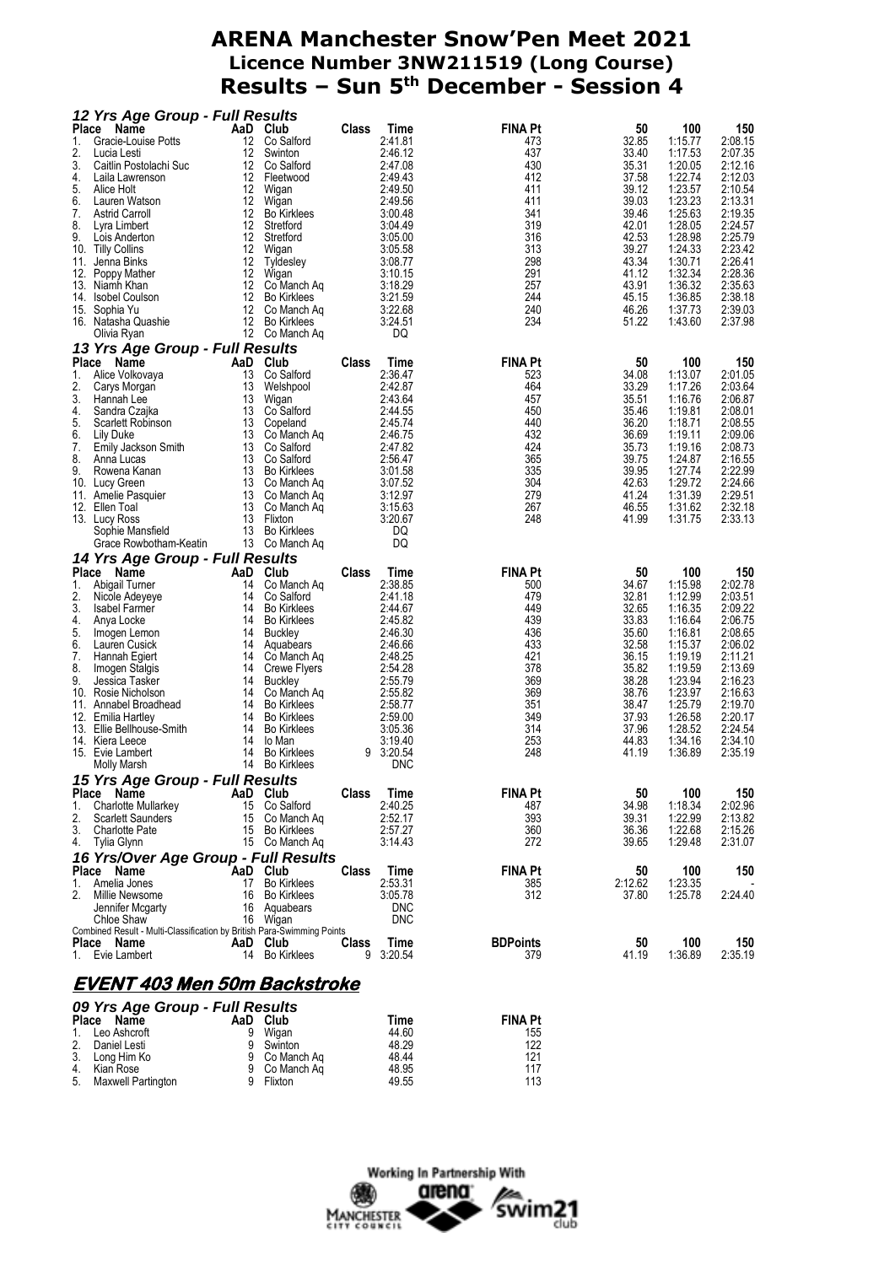| 12 Yrs Age Group - Full Results                                        |          |                                          |              |                      |                 |                |                    |                    |
|------------------------------------------------------------------------|----------|------------------------------------------|--------------|----------------------|-----------------|----------------|--------------------|--------------------|
| Place<br>Name                                                          |          | AaD Club                                 | Class        | Time                 | <b>FINA Pt</b>  | 50             | 100                | 150                |
| Gracie-Louise Potts<br>1.                                              | 12       | Co Salford                               |              | 2:41.81              | 473             | 32.85          | 1:15.77            | 2:08.15            |
| 2.<br>Lucia Lesti<br>3.                                                | 12<br>12 | Swinton<br>Co Salford                    |              | 2:46.12<br>2:47.08   | 437<br>430      | 33.40<br>35.31 | 1:17.53<br>1:20.05 | 2:07.35<br>2:12.16 |
| Caitlin Postolachi Suc<br>4.<br>Laila Lawrenson                        |          | 12 Fleetwood                             |              | 2:49.43              | 412             | 37.58          | 1:22.74            | 2:12.03            |
| 5.<br>Alice Holt                                                       | 12       | Wigan                                    |              | 2:49.50              | 411             | 39.12          | 1:23.57            | 2:10.54            |
| 6.<br>Lauren Watson                                                    | 12       | Wigan                                    |              | 2:49.56              | 411             | 39.03          | 1:23.23            | 2:13.31            |
| 7.<br><b>Astrid Carroll</b>                                            | 12       | <b>Bo Kirklees</b>                       |              | 3:00.48              | 341             | 39.46          | 1:25.63            | 2:19.35            |
| 8.<br>Lyra Limbert                                                     | 12       | Stretford                                |              | 3:04.49              | 319             | 42.01          | 1:28.05            | 2:24.57            |
| 9.<br>Lois Anderton                                                    | 12       | Stretford                                |              | 3:05.00              | 316             | 42.53          | 1:28.98            | 2:25.79            |
| 10. Tilly Collins                                                      | 12       | Wigan                                    |              | 3:05.58              | 313             | 39.27          | 1:24.33            | 2:23.42            |
| 11.<br>Jenna Binks                                                     | 12       | Tyldesley                                |              | 3:08.77              | 298             | 43.34          | 1:30.71            | 2:26.41            |
| 12.<br>Poppy Mather                                                    | 12       | Wigan                                    |              | 3:10.15              | 291             | 41.12          | 1:32.34            | 2:28.36            |
| 13. Niamh Khan                                                         | 12       | Co Manch Aq                              |              | 3:18.29              | 257             | 43.91          | 1:36.32            | 2:35.63            |
| 14. Isobel Coulson                                                     | 12<br>12 | <b>Bo Kirklees</b>                       |              | 3:21.59<br>3:22.68   | 244<br>240      | 45.15<br>46.26 | 1:36.85<br>1:37.73 | 2:38.18<br>2:39.03 |
| 15. Sophia Yu<br>16. Natasha Quashie                                   | 12       | Co Manch Ag<br><b>Bo Kirklees</b>        |              | 3:24.51              | 234             | 51.22          | 1:43.60            | 2:37.98            |
| Olivia Ryan                                                            |          | 12 Co Manch Aq                           |              | DQ                   |                 |                |                    |                    |
| 13 Yrs Age Group - Full Results                                        |          |                                          |              |                      |                 |                |                    |                    |
| Place<br>Name                                                          |          | AaD Club                                 | <b>Class</b> | Time                 | <b>FINA Pt</b>  | 50             | 100                | 150                |
| Alice Volkovaya<br>1.                                                  | 13       | Co Salford                               |              | 2:36.47              | 523             | 34.08          | 1:13.07            | 2:01.05            |
| 2.<br>Carys Morgan                                                     | 13       | Welshpool                                |              | 2:42.87              | 464             | 33.29          | 1:17.26            | 2:03.64            |
| 3.<br>Hannah Lee                                                       | 13       | Wigan                                    |              | 2:43.64              | 457             | 35.51          | 1:16.76            | 2:06.87            |
| 4.<br>Sandra Czajka                                                    |          | 13 Co Salford                            |              | 2:44.55              | 450             | 35.46          | 1:19.81            | 2:08.01            |
| 5.<br>Scarlett Robinson                                                | 13       | Copeland                                 |              | 2:45.74              | 440             | 36.20          | 1:18.71            | 2:08.55            |
| 6.<br>Lily Duke                                                        | 13       | Co Manch Ag                              |              | 2:46.75              | 432             | 36.69          | 1:19.11            | 2:09.06            |
| 7.<br>Emily Jackson Smith                                              | 13       | Co Salford                               |              | 2:47.82              | 424             | 35.73          | 1:19.16            | 2:08.73            |
| 8.<br>Anna Lucas                                                       | 13       | Co Salford                               |              | 2:56.47              | 365             | 39.75          | 1:24.87            | 2:16.55            |
| 9.<br>Rowena Kanan<br>10. Lucy Green                                   | 13       | <b>Bo Kirklees</b><br>13 Co Manch Aq     |              | 3:01.58<br>3:07.52   | 335<br>304      | 39.95<br>42.63 | 1:27.74<br>1:29.72 | 2:22.99<br>2:24.66 |
| 11. Amelie Pasquier                                                    | 13       | Co Manch Aq                              |              | 3:12.97              | 279             | 41.24          | 1:31.39            | 2:29.51            |
| 12. Ellen Toal                                                         | 13       | Co Manch Aq                              |              | 3:15.63              | 267             | 46.55          | 1:31.62            | 2:32.18            |
| 13. Lucy Ross                                                          | 13       | Flixton                                  |              | 3:20.67              | 248             | 41.99          | 1:31.75            | 2:33.13            |
| Sophie Mansfield                                                       |          | 13 Bo Kirklees                           |              | DQ                   |                 |                |                    |                    |
| Grace Rowbotham-Keatin                                                 |          | 13 Co Manch Aq                           |              | DQ                   |                 |                |                    |                    |
| 14 Yrs Age Group - Full Results                                        |          |                                          |              |                      |                 |                |                    |                    |
| Place<br>Name                                                          | AaD      | Club                                     | Class        | Time                 | <b>FINA Pt</b>  | 50             | 100                | 150                |
| 1.<br>Abigail Turner                                                   | 14       | Co Manch Ag                              |              | 2:38.85              | 500             | 34.67          | 1:15.98            | 2:02.78            |
| 2.<br>Nicole Adeyeye                                                   | 14       | Co Salford                               |              | 2:41.18              | 479             | 32.81          | 1:12.99            | 2:03.51            |
| 3.<br><b>Isabel Farmer</b><br>4.                                       | 14<br>14 | <b>Bo Kirklees</b><br><b>Bo Kirklees</b> |              | 2:44.67<br>2:45.82   | 449<br>439      | 32.65<br>33.83 | 1:16.35<br>1:16.64 | 2:09.22<br>2:06.75 |
| Anya Locke<br>5.<br>Imogen Lemon                                       | 14       | <b>Buckley</b>                           |              | 2:46.30              | 436             | 35.60          | 1:16.81            | 2:08.65            |
| 6.<br>Lauren Cusick                                                    | 14       | Aquabears                                |              | 2:46.66              | 433             | 32.58          | 1:15.37            | 2:06.02            |
| 7.<br>Hannah Egiert                                                    | 14       | Co Manch Ag                              |              | 2:48.25              | 421             | 36.15          | 1:19.19            | 2:11.21            |
| 8.<br>Imogen Stalgis                                                   | 14       | Crewe Flyers                             |              | 2:54.28              | 378             | 35.82          | 1:19.59            | 2:13.69            |
| 9.<br>Jessica Tasker                                                   | 14       | <b>Buckley</b>                           |              | 2:55.79              | 369             | 38.28          | 1:23.94            | 2:16.23            |
| 10. Rosie Nicholson                                                    | 14       | Co Manch Aq                              |              | 2:55.82              | 369             | 38.76          | 1:23.97            | 2:16.63            |
| 11. Annabel Broadhead                                                  | 14       | <b>Bo Kirklees</b>                       |              | 2:58.77              | 351             | 38.47          | 1:25.79            | 2:19.70            |
| 12. Emilia Hartley                                                     | 14       | <b>Bo Kirklees</b>                       |              | 2:59.00              | 349             | 37.93          | 1:26.58            | 2:20.17            |
| 13. Ellie Bellhouse-Smith                                              | 14       | <b>Bo Kirklees</b>                       |              | 3:05.36              | 314             | 37.96          | 1:28.52<br>1:34.16 | 2:24.54            |
| 14. Kiera Leece<br>15. Evie Lambert                                    | 14<br>14 | lo Man<br><b>Bo Kirklees</b>             |              | 3:19.40<br>9 3:20.54 | 253<br>248      | 44.83<br>41.19 | 1:36.89            | 2:34.10<br>2:35.19 |
| Molly Marsh                                                            | 14       | <b>Bo Kirklees</b>                       |              | <b>DNC</b>           |                 |                |                    |                    |
|                                                                        |          |                                          |              |                      |                 |                |                    |                    |
| 15 Yrs Age Group - Full Results                                        |          |                                          | Class        |                      |                 | 50             |                    |                    |
| Place Name<br>Charlotte Mullarkey<br>1.                                |          | AaD Club<br>15 Co Salford                |              | Time<br>2:40.25      | FINA Pt<br>487  | 34.98          | 100<br>1:18.34     | 150<br>2:02.96     |
| 2.<br><b>Scarlett Saunders</b>                                         |          | 15 Co Manch Aq                           |              | 2:52.17              | 393             | 39.31          | 1:22.99            | 2:13.82            |
| 3.<br><b>Charlotte Pate</b>                                            |          | 15 Bo Kirklees                           |              | 2:57.27              | 360             | 36.36          | 1:22.68            | 2:15.26            |
| Tylia Glynn<br>4.                                                      |          | 15 Co Manch Aq                           |              | 3:14.43              | 272             | 39.65          | 1:29.48            | 2:31.07            |
| 16 Yrs/Over Age Group - Full Results                                   |          |                                          |              |                      |                 |                |                    |                    |
| Place Name                                                             |          | AaD Club                                 | Class        | Time                 | <b>FINA Pt</b>  | 50             | 100                | 150                |
| 1. Amelia Jones                                                        |          | 17 Bo Kirklees                           |              | 2:53.31              | 385             | 2:12.62        | 1:23.35            |                    |
| 2.<br>Millie Newsome                                                   |          | 16 Bo Kirklees                           |              | 3:05.78              | 312             | 37.80          | 1:25.78            | 2:24.40            |
| Jennifer Mcgarty                                                       |          | 16 Aquabears                             |              | <b>DNC</b>           |                 |                |                    |                    |
| Chloe Shaw                                                             |          | 16 Wigan                                 |              | <b>DNC</b>           |                 |                |                    |                    |
| Combined Result - Multi-Classification by British Para-Swimming Points |          |                                          |              |                      |                 |                |                    |                    |
| Place Name                                                             |          | AaD Club                                 |              | Class Time           | <b>BDPoints</b> | 50             | 100                | 150                |
| 1. Evie Lambert                                                        |          | 14 Bo Kirklees                           |              | 9 3:20.54            | 379             | 41.19          | 1:36.89            | 2:35.19            |
|                                                                        |          |                                          |              |                      |                 |                |                    |                    |

#### **EVENT 403 Men 50m Backstroke**

| 09 Yrs Age Group - Full Results |   |               |       |                |  |  |  |  |  |  |  |
|---------------------------------|---|---------------|-------|----------------|--|--|--|--|--|--|--|
| Place Name                      |   | AaD Club      | Time  | <b>FINA Pt</b> |  |  |  |  |  |  |  |
| 1. Leo Ashcroft                 | 9 | Wigan         | 44.60 | 155            |  |  |  |  |  |  |  |
| 2. Daniel Lesti                 | 9 | Swinton       | 48.29 | 122            |  |  |  |  |  |  |  |
| 3. Long Him Ko                  |   | 9 Co Manch Ag | 48.44 | 121            |  |  |  |  |  |  |  |
| 4. Kian Rose                    |   | 9 Co Manch Ag | 48.95 | 117            |  |  |  |  |  |  |  |
| 5. Maxwell Partington           | 9 | Flixton       | 49.55 | 113            |  |  |  |  |  |  |  |

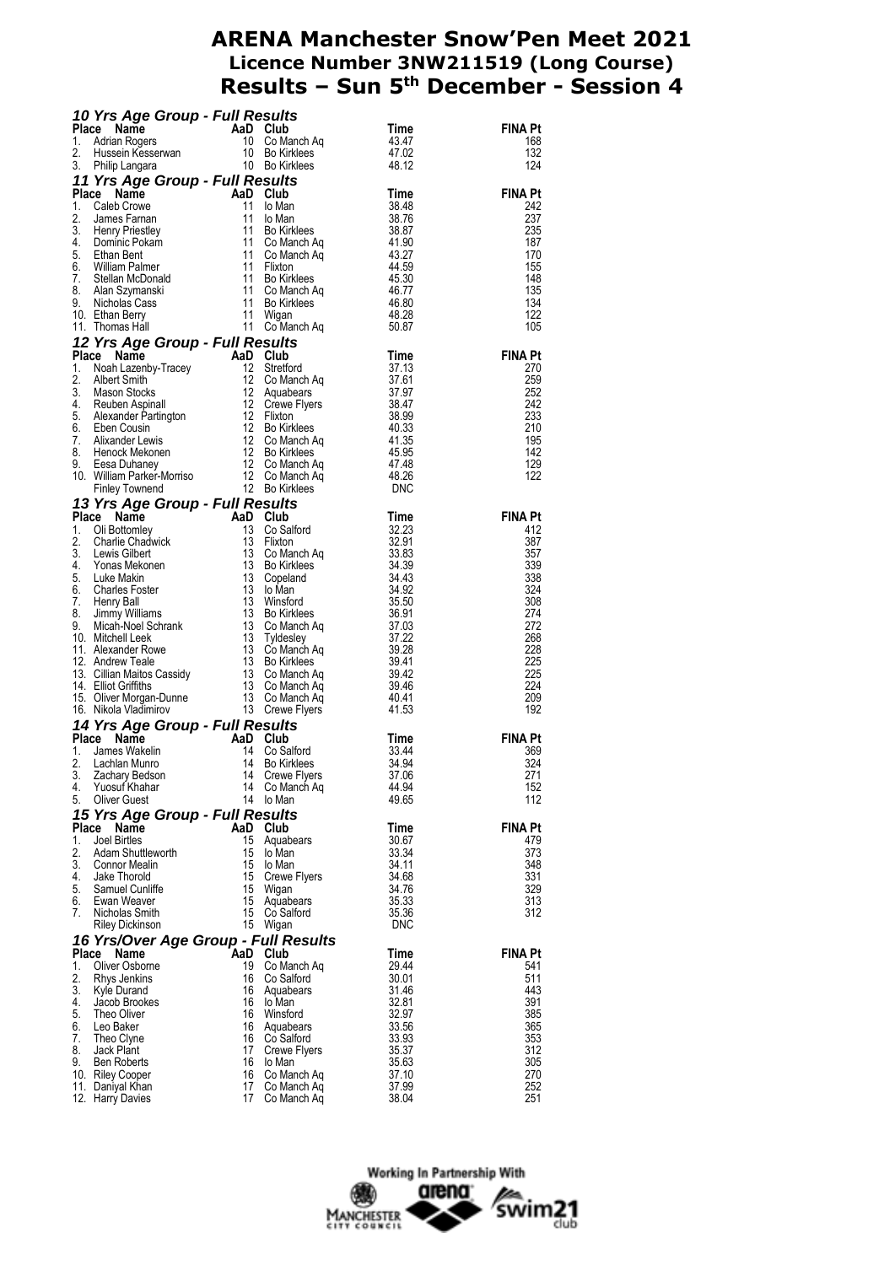|          | <b>10 Yrs Age Group - Full Results</b><br>Place Name AaD Club Time<br>1. Adrian Rogers 10 Co Manch Aq 43.47<br>2. Hussein Kesserwan 10 Bo Kirklees 47.02<br><b>1. Philip Langara Crown 5:11 De Oxillides</b> 48.12                                        |          |                               |                | <b>FINA Pt</b>                                                  |
|----------|-----------------------------------------------------------------------------------------------------------------------------------------------------------------------------------------------------------------------------------------------------------|----------|-------------------------------|----------------|-----------------------------------------------------------------|
|          |                                                                                                                                                                                                                                                           |          |                               |                | 168<br>132                                                      |
|          |                                                                                                                                                                                                                                                           |          |                               |                | 124                                                             |
|          |                                                                                                                                                                                                                                                           |          |                               |                |                                                                 |
|          | 3. Philip Langara<br>10 Bo Kirklees<br>11 Yrs Age Group - Full Results<br>11 O Man<br>2. James Farnan<br>11 lo Man<br>3. 3.48<br>2. James Farnan<br>3. Henry Priestley<br>11 Bo Kirklees<br>4. Dominic Pokam<br>4. Sethan Bentre<br>6. William Palmer<br> |          |                               |                | FINA Pt                                                         |
|          |                                                                                                                                                                                                                                                           |          |                               |                | 242                                                             |
|          |                                                                                                                                                                                                                                                           |          |                               |                | 237                                                             |
|          |                                                                                                                                                                                                                                                           |          |                               |                | 235                                                             |
|          |                                                                                                                                                                                                                                                           |          |                               |                | 187                                                             |
|          |                                                                                                                                                                                                                                                           |          |                               |                | 170<br>155                                                      |
|          |                                                                                                                                                                                                                                                           |          |                               |                | 148                                                             |
|          |                                                                                                                                                                                                                                                           |          |                               |                | 135                                                             |
|          |                                                                                                                                                                                                                                                           |          |                               |                | 134                                                             |
|          |                                                                                                                                                                                                                                                           |          |                               |                | 122                                                             |
|          |                                                                                                                                                                                                                                                           |          |                               |                | 105                                                             |
|          |                                                                                                                                                                                                                                                           |          |                               |                |                                                                 |
|          |                                                                                                                                                                                                                                                           |          |                               |                | $\begin{array}{c}\n\textbf{FINA Pt} \\ 270 \\ 259\n\end{array}$ |
|          |                                                                                                                                                                                                                                                           |          |                               |                |                                                                 |
|          |                                                                                                                                                                                                                                                           |          |                               |                | 259<br>252                                                      |
|          |                                                                                                                                                                                                                                                           |          |                               |                | 242                                                             |
|          |                                                                                                                                                                                                                                                           |          |                               |                | 233                                                             |
|          |                                                                                                                                                                                                                                                           |          |                               |                | 210                                                             |
|          |                                                                                                                                                                                                                                                           |          |                               |                | 195                                                             |
|          |                                                                                                                                                                                                                                                           |          |                               |                | 142                                                             |
|          |                                                                                                                                                                                                                                                           |          |                               |                | 129<br>122                                                      |
|          |                                                                                                                                                                                                                                                           |          |                               |                |                                                                 |
|          |                                                                                                                                                                                                                                                           |          |                               |                |                                                                 |
|          |                                                                                                                                                                                                                                                           |          |                               |                | <b>FINA Pt</b>                                                  |
|          |                                                                                                                                                                                                                                                           |          |                               |                | 412                                                             |
|          |                                                                                                                                                                                                                                                           |          |                               |                | 387                                                             |
|          |                                                                                                                                                                                                                                                           |          |                               |                | 357                                                             |
|          |                                                                                                                                                                                                                                                           |          |                               |                | 339                                                             |
|          |                                                                                                                                                                                                                                                           |          |                               |                | 338<br>324                                                      |
|          |                                                                                                                                                                                                                                                           |          |                               |                | 308                                                             |
|          |                                                                                                                                                                                                                                                           |          |                               |                | 274                                                             |
|          |                                                                                                                                                                                                                                                           |          |                               |                | 272                                                             |
|          |                                                                                                                                                                                                                                                           |          |                               |                |                                                                 |
|          |                                                                                                                                                                                                                                                           |          |                               |                | 268                                                             |
|          |                                                                                                                                                                                                                                                           |          |                               |                | 228                                                             |
|          |                                                                                                                                                                                                                                                           |          |                               |                | 225                                                             |
|          |                                                                                                                                                                                                                                                           |          |                               |                | 225                                                             |
|          |                                                                                                                                                                                                                                                           |          |                               |                | 224<br>209                                                      |
|          |                                                                                                                                                                                                                                                           |          |                               |                | 192                                                             |
|          |                                                                                                                                                                                                                                                           |          |                               |                |                                                                 |
|          |                                                                                                                                                                                                                                                           |          |                               |                | <b>FINA Pt</b>                                                  |
|          |                                                                                                                                                                                                                                                           |          |                               |                | 369                                                             |
|          |                                                                                                                                                                                                                                                           |          |                               |                | 324                                                             |
|          |                                                                                                                                                                                                                                                           |          |                               |                | 271                                                             |
| 4.<br>5. | Yuosuf Khahar<br><b>Oliver Guest</b>                                                                                                                                                                                                                      | 14       | Co Manch Aq                   | 44.94<br>49.65 | 152<br>112                                                      |
|          | 10. Ethan Berry 11 Wigan 11 Wigan 48.28<br>11 Thomas Hall<br>11 Thomas Hall<br>11 Thomas Hall<br>11 Thomas Hall<br>11 Thomas Hall<br>11 Thomas Hall<br>11 The Community Tracey<br>12 Stretford Time<br>1. Noah Lazenby-Tracey<br>12 Stretford Tim         |          | 14 lo Man                     |                |                                                                 |
|          | 15 Yrs Age Group - Full Results                                                                                                                                                                                                                           |          |                               |                | <b>FINA Pt</b>                                                  |
| 1.       | Place Name<br>Joel Birtles                                                                                                                                                                                                                                |          | AaD Club<br>15 Aquabears      | Time<br>30.67  | 479                                                             |
| 2.       | Adam Shuttleworth                                                                                                                                                                                                                                         | 15       | lo Man                        | 33.34          | 373                                                             |
|          | 3. Connor Mealin                                                                                                                                                                                                                                          |          | 15 lo Man                     | 34.11          | 348                                                             |
| 4.       | Jake Thorold                                                                                                                                                                                                                                              | 15       | Crewe Flyers                  | 34.68          | 331                                                             |
| 5.       | Samuel Cunliffe                                                                                                                                                                                                                                           | 15       | Wigan                         | 34.76          | 329                                                             |
| 6.<br>7. | Ewan Weaver<br>Nicholas Smith                                                                                                                                                                                                                             |          | 15 Aquabears<br>15 Co Salford | 35.33          | 313<br>312                                                      |
|          | Riley Dickinson                                                                                                                                                                                                                                           |          | 15 Wigan                      | 35.36<br>DNC   |                                                                 |
|          |                                                                                                                                                                                                                                                           |          |                               |                |                                                                 |
|          | 16 Yrs/Over Age Group - Full Results<br>Place Name                                                                                                                                                                                                        |          | AaD Club                      | Time           | <b>FINA Pt</b>                                                  |
| 1.       | Oliver Osborne                                                                                                                                                                                                                                            | 19       | Co Manch Aq                   | 29.44          | 541                                                             |
| 2.       | Rhys Jenkins                                                                                                                                                                                                                                              | 16       | Co Salford                    | 30.01          | 511                                                             |
|          | 3. Kyle Durand                                                                                                                                                                                                                                            | 16       | Aquabears                     | 31.46          | 443                                                             |
| 4.       | Jacob Brookes                                                                                                                                                                                                                                             | 16       | lo Man                        | 32.81          | 391                                                             |
| 5.       | Theo Oliver<br>Leo Baker                                                                                                                                                                                                                                  | 16       | Winsford<br>16 Aquabears      | 32.97<br>33.56 | 385<br>365                                                      |
| 6.<br>7. | Theo Clyne                                                                                                                                                                                                                                                | 16       | Co Salford                    | 33.93          | 353                                                             |
| 8.       | Jack Plant                                                                                                                                                                                                                                                | 17       | Crewe Flyers                  | 35.37          | 312                                                             |
|          | 9. Ben Roberts                                                                                                                                                                                                                                            | 16       | lo Man                        | 35.63          | 305                                                             |
|          | 10. Riley Cooper<br>11. Daniyal Khan                                                                                                                                                                                                                      | 16<br>17 | Co Manch Aq<br>Co Manch Aq    | 37.10<br>37.99 | 270<br>252                                                      |

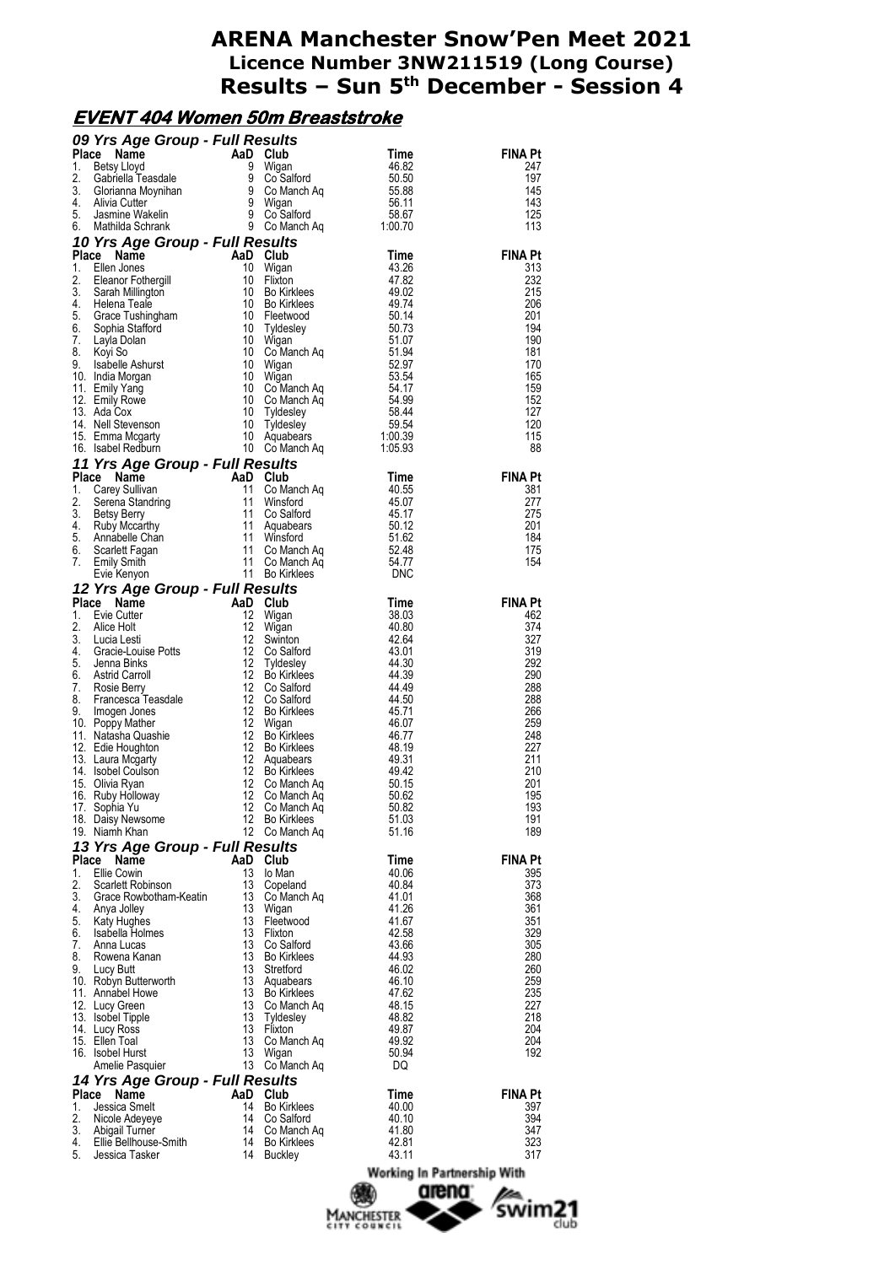## **EVENT 404 Women 50m Breaststroke**

|    | <b>09 Yrs Age Group - Full Results</b><br>Time<br>1. Betsy Lloyd 9 Wigan<br>3. Gabriella Teasdale<br>3. Ghorianna Moynihan<br>4. Alivia Cutter<br>5. Jasmine Wakelin<br>5. Jasmine Wakelin<br>5. Jasmine Wakelin<br>5. Mathida Schrank<br>1. De Comand |          |                                  |                             |                |
|----|--------------------------------------------------------------------------------------------------------------------------------------------------------------------------------------------------------------------------------------------------------|----------|----------------------------------|-----------------------------|----------------|
|    |                                                                                                                                                                                                                                                        |          |                                  |                             | <b>FINA Pt</b> |
|    |                                                                                                                                                                                                                                                        |          |                                  |                             | 247<br>197     |
|    |                                                                                                                                                                                                                                                        |          |                                  |                             | 145            |
|    |                                                                                                                                                                                                                                                        |          |                                  |                             | 143            |
|    |                                                                                                                                                                                                                                                        |          |                                  |                             | 125            |
|    | 4. Aliva Cutter and B. Minited Strains (and the Strains of the Strains of the Marina Strains (a. S. Beann Formula 3. Strains and the Strains (a. S. Bearn Formula 3. Strains and the Strains (a. S. Bearn Formula 3. Strains a                         |          |                                  |                             | 113            |
|    |                                                                                                                                                                                                                                                        |          |                                  |                             |                |
|    |                                                                                                                                                                                                                                                        |          |                                  |                             | <b>FINA Pt</b> |
|    |                                                                                                                                                                                                                                                        |          |                                  |                             | 313            |
|    |                                                                                                                                                                                                                                                        |          |                                  |                             | 232<br>215     |
|    |                                                                                                                                                                                                                                                        |          |                                  |                             | 206            |
|    |                                                                                                                                                                                                                                                        |          |                                  |                             | 201            |
|    |                                                                                                                                                                                                                                                        |          |                                  |                             | 194            |
|    |                                                                                                                                                                                                                                                        |          |                                  |                             | 190            |
|    |                                                                                                                                                                                                                                                        |          |                                  |                             | 181            |
|    |                                                                                                                                                                                                                                                        |          |                                  |                             | 170<br>165     |
|    |                                                                                                                                                                                                                                                        |          |                                  |                             | 159            |
|    |                                                                                                                                                                                                                                                        |          |                                  |                             | 152            |
|    |                                                                                                                                                                                                                                                        |          |                                  |                             | 127            |
|    |                                                                                                                                                                                                                                                        |          |                                  |                             | 120            |
|    |                                                                                                                                                                                                                                                        |          |                                  |                             | 115<br>88      |
|    |                                                                                                                                                                                                                                                        |          |                                  |                             |                |
|    |                                                                                                                                                                                                                                                        |          |                                  |                             | <b>FINA Pt</b> |
|    |                                                                                                                                                                                                                                                        |          |                                  |                             | 381            |
|    |                                                                                                                                                                                                                                                        |          |                                  |                             | 277            |
|    |                                                                                                                                                                                                                                                        |          |                                  |                             | 275            |
|    |                                                                                                                                                                                                                                                        |          |                                  |                             | 201            |
|    |                                                                                                                                                                                                                                                        |          |                                  |                             | 184            |
|    |                                                                                                                                                                                                                                                        |          |                                  |                             | 175<br>154     |
|    |                                                                                                                                                                                                                                                        |          |                                  |                             |                |
|    |                                                                                                                                                                                                                                                        |          |                                  |                             |                |
|    |                                                                                                                                                                                                                                                        |          |                                  |                             | <b>FINA Pt</b> |
|    |                                                                                                                                                                                                                                                        |          |                                  |                             | 462            |
|    |                                                                                                                                                                                                                                                        |          |                                  |                             | 374            |
|    |                                                                                                                                                                                                                                                        |          |                                  |                             | 327            |
|    |                                                                                                                                                                                                                                                        |          |                                  |                             | 319<br>292     |
|    |                                                                                                                                                                                                                                                        |          |                                  |                             | 290            |
|    |                                                                                                                                                                                                                                                        |          |                                  |                             | 288            |
|    |                                                                                                                                                                                                                                                        |          |                                  |                             | 288            |
|    |                                                                                                                                                                                                                                                        |          |                                  |                             | 266            |
|    |                                                                                                                                                                                                                                                        |          |                                  |                             | 259            |
|    |                                                                                                                                                                                                                                                        |          |                                  |                             | 248<br>227     |
|    |                                                                                                                                                                                                                                                        |          |                                  |                             | 211            |
|    |                                                                                                                                                                                                                                                        |          |                                  |                             | 210            |
|    |                                                                                                                                                                                                                                                        |          |                                  |                             | 201            |
|    |                                                                                                                                                                                                                                                        |          |                                  |                             | 195            |
|    | 18. Daisy Newsome                                                                                                                                                                                                                                      |          | 12 Bo Kirklees                   | 51.03                       | 193<br>191     |
|    | 19. Niamh Khan                                                                                                                                                                                                                                         |          | 12 Co Manch Aq                   | 51.16                       | 189            |
|    | 13 Yrs Age Group - Full Results                                                                                                                                                                                                                        |          |                                  |                             |                |
|    | Place Name                                                                                                                                                                                                                                             | AaD Club |                                  | Time                        | FINA Pt        |
| 1. | Ellie Cowin                                                                                                                                                                                                                                            |          | 13 lo Man                        | 40.06                       | 395            |
| 2. | Scarlett Robinson                                                                                                                                                                                                                                      |          | 13 Copeland                      | 40.84                       | 373            |
|    | 3. Grace Rowbotham-Keatin<br>4. Anya Jolley                                                                                                                                                                                                            |          | 13 Copeianu<br>13 Co Manch Aq    | 41.01                       | 368            |
|    | 5. Katy Hughes                                                                                                                                                                                                                                         |          | 13 Wigan<br>13 Fleetwood         | 41.26<br>41.67              | 361<br>351     |
|    | 6. Isabella Holmes                                                                                                                                                                                                                                     | 13       | Flixton                          | 42.58                       | 329            |
|    | 7. Anna Lucas                                                                                                                                                                                                                                          |          | 13 Co Salford                    | 43.66                       | 305            |
|    | 8. Rowena Kanan                                                                                                                                                                                                                                        | 13       | <b>Bo Kirklees</b>               | 44.93                       | 280            |
|    | 9. Lucy Butt                                                                                                                                                                                                                                           | 13       | Stretford                        | 46.02                       | 260            |
|    | 10. Robyn Butterworth                                                                                                                                                                                                                                  |          | 13 Aquabears                     | 46.10                       | 259            |
|    | 11. Annabel Howe<br>12. Lucy Green                                                                                                                                                                                                                     |          | 13 Bo Kirklees<br>13 Co Manch Aq | 47.62<br>48.15              | 235<br>227     |
|    | 13. Isobel Tipple                                                                                                                                                                                                                                      |          | 13 Tyldesley                     | 48.82                       | 218            |
|    | 14. Lucy Ross                                                                                                                                                                                                                                          |          | 13 Flixton                       | 49.87                       | 204            |
|    | 15. Ellen Toal                                                                                                                                                                                                                                         |          | 13 Co Manch Aq                   | 49.92                       | 204            |
|    | 16. Isobel Hurst                                                                                                                                                                                                                                       |          | 13 Wigan                         | 50.94                       | 192            |
|    | Amelie Pasquier                                                                                                                                                                                                                                        |          | 13 Co Manch Aq                   | DQ                          |                |
|    | 14 Yrs Age Group - Full Results<br>Place Name                                                                                                                                                                                                          |          |                                  |                             |                |
| 1. | Jessica Smelt                                                                                                                                                                                                                                          | AaD Club | 14 Bo Kirklees                   | Time<br>40.00               | FINA Pt<br>397 |
| 2. | Nicole Adeyeye                                                                                                                                                                                                                                         |          | 14 Co Salford                    | 40.10                       | 394            |
|    | 3. Abigail Turner                                                                                                                                                                                                                                      |          | 14 Co Manch Aq                   | 41.80                       | 347            |
|    | 4. Ellie Bellhouse-Smith                                                                                                                                                                                                                               |          | 14 Bo Kirklees                   | 42.81                       | 323            |
| 5. | Jessica Tasker                                                                                                                                                                                                                                         |          | 14 Buckley                       | 43.11                       | 317            |
|    |                                                                                                                                                                                                                                                        |          |                                  | Working In Partnership With |                |
|    |                                                                                                                                                                                                                                                        |          |                                  | amena <sup>.</sup>          | <b>Ben</b>     |

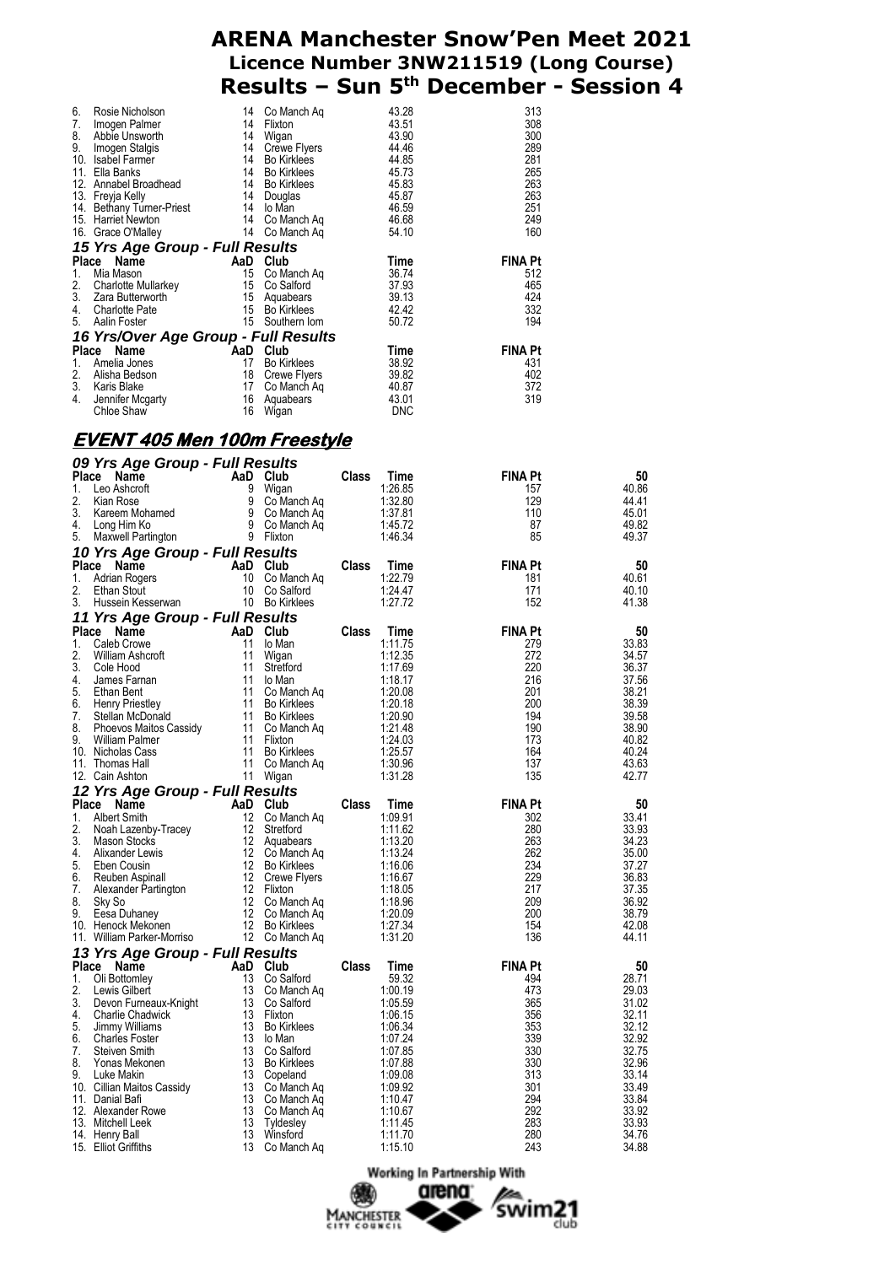| 6.<br>7.<br>8.<br>9.<br>10.<br>11. | Rosie Nicholson<br>Imogen Palmer<br>Abbie Unsworth<br>Imogen Stalgis<br>Isabel Farmer<br>Ella Banks | 14<br>14<br>14<br>14<br>14<br>14 | Co Manch Aq<br>Flixton<br>Wigan<br>Crewe Flyers<br><b>Bo Kirklees</b><br><b>Bo Kirklees</b> | 43.28<br>43.51<br>43.90<br>44.46<br>44.85<br>45.73 | 313<br>308<br>300<br>289<br>281<br>265 |  |  |  |  |  |  |
|------------------------------------|-----------------------------------------------------------------------------------------------------|----------------------------------|---------------------------------------------------------------------------------------------|----------------------------------------------------|----------------------------------------|--|--|--|--|--|--|
| 12.<br>13.                         | Annabel Broadhead<br>Freyja Kelly                                                                   | 14<br>14                         | Bo Kirklees<br>Douglas                                                                      | 45.83<br>45.87                                     | 263<br>263                             |  |  |  |  |  |  |
|                                    | 14. Bethany Turner-Priest<br>15. Harriet Newton                                                     | 14<br>14                         | lo Man<br>Co Manch Aq                                                                       | 46.59<br>46.68                                     | 251<br>249                             |  |  |  |  |  |  |
|                                    | 16. Grace O'Malley                                                                                  | 14                               | Co Manch Aq                                                                                 | 54.10                                              | 160                                    |  |  |  |  |  |  |
|                                    | 15 Yrs Age Group - Full Results                                                                     |                                  |                                                                                             |                                                    |                                        |  |  |  |  |  |  |
|                                    | Place Name                                                                                          |                                  | AaD Club                                                                                    | Time                                               | <b>FINA Pt</b>                         |  |  |  |  |  |  |
| 1.                                 | Mia Mason                                                                                           | 15                               | Co Manch Ag                                                                                 | 36.74                                              | 512                                    |  |  |  |  |  |  |
| 2.                                 | Charlotte Mullarkey                                                                                 | 15                               | Co Salford                                                                                  | 37.93                                              | 465                                    |  |  |  |  |  |  |
| 3.                                 | Zara Butterworth                                                                                    | 15                               | Aquabears                                                                                   | 39.13                                              | 424                                    |  |  |  |  |  |  |
| 4.                                 | <b>Charlotte Pate</b>                                                                               | 15                               | Bo Kirklees                                                                                 | 42.42                                              | 332                                    |  |  |  |  |  |  |
| 5.                                 | Aalin Foster                                                                                        |                                  | 15 Southern Iom                                                                             | 50.72                                              | 194                                    |  |  |  |  |  |  |
|                                    | 16 Yrs/Over Age Group - Full Results                                                                |                                  |                                                                                             |                                                    |                                        |  |  |  |  |  |  |
|                                    | Place Name                                                                                          |                                  | AaD Club                                                                                    | Time                                               | <b>FINA Pt</b>                         |  |  |  |  |  |  |
| 1.                                 | Amelia Jones                                                                                        | 17                               | <b>Bo Kirklees</b>                                                                          | 38.92                                              | 431                                    |  |  |  |  |  |  |
| 2.                                 | Alisha Bedson                                                                                       | 18                               | Crewe Flyers                                                                                | 39.82                                              | 402                                    |  |  |  |  |  |  |
| 3.                                 | Karis Blake                                                                                         | 17                               | Co Manch Ag                                                                                 | 40.87                                              | 372                                    |  |  |  |  |  |  |
| 4.                                 | Jennifer Mcgarty                                                                                    | 16                               | Aquabears                                                                                   | 43.01                                              | 319                                    |  |  |  |  |  |  |
|                                    | Chloe Shaw                                                                                          | 16                               | Wigan                                                                                       | <b>DNC</b>                                         |                                        |  |  |  |  |  |  |

### **EVENT 405 Men 100m Freestyle**

|          | 09 Yrs Age Group - Full Results                                                 |           |                                 |              |                    |                |                |
|----------|---------------------------------------------------------------------------------|-----------|---------------------------------|--------------|--------------------|----------------|----------------|
| Place    | Name                                                                            |           | AaD Club                        | Class        | Time               | <b>FINA Pt</b> | 50             |
| 1.       | Leo Ashcroft                                                                    | 9         | Wigan                           |              | 1:26.85            | 157            | 40.86          |
| 2.       | Kian Rose                                                                       |           | 9 Co Manch Aq                   |              | 1:32.80            | 129            | 44.41          |
| 3.       | Kareem Mohamed                                                                  |           | 9 Co Manch Aq<br>9 Co Manch Aq  |              | 1:37.81            | 110            | 45.01          |
| 4.       | Long Him Ko                                                                     |           |                                 |              | 1:45.72            | 87             | 49.82          |
| 5.       | Maxwell Partington                                                              | 9 Flixton |                                 |              | 1:46.34            | 85             | 49.37          |
|          | 10 Yrs Age Group - Full Results                                                 |           |                                 |              |                    |                |                |
| Place    | Name                                                                            |           | AaD Club                        | Class        | Time               | <b>FINA Pt</b> | 50             |
| 1.<br>2. | <b>Adrian Rogers</b><br>Ethan Stout                                             |           | 10 Co Manch Aq<br>10 Co Salford |              | 1:22.79<br>1:24.47 | 181<br>171     | 40.61<br>40.10 |
| 3.       | Hussein Kesserwan                                                               |           | 10 Bo Kirklees                  |              | 1:27.72            | 152            | 41.38          |
|          | 11 Yrs Age Group - Full Results                                                 |           |                                 |              |                    |                |                |
| Place    | Name                                                                            |           | AaD Club                        | <b>Class</b> | Time               | <b>FINA Pt</b> | 50             |
| 1.       | Caleb Crowe                                                                     | 11        | lo Man                          |              | 1:11.75            | 279            | 33.83          |
| 2.       | William Ashcroft                                                                | 11        | Wigan                           |              | 1:12.35            | 272            | 34.57          |
| 3.       | Cole Hood                                                                       | 11        | Stretford                       |              | 1:17.69            | 220            | 36.37          |
| 4.       | James Farnan                                                                    | 11        | lo Man                          |              | 1:18.17            | 216            | 37.56          |
| 5.       | Ethan Bent                                                                      | 11        | Co Manch Aq                     |              | 1:20.08            | 201            | 38.21          |
| 6.       | Henry Priestley<br>Stellan McDonald<br>Phoevos Maitos Cassidy<br>William Polmer |           | 11 Bo Kirklees                  |              | 1:20.18            | 200            | 38.39          |
| 7.       |                                                                                 |           | 11 Bo Kirklees                  |              | 1:20.90            | 194            | 39.58          |
| 8.       |                                                                                 |           | 11 Co Manch Aq                  |              | 1:21.48            | 190            | 38.90          |
| 9.       | William Palmer                                                                  |           | 11 Flixton                      |              | 1:24.03            | 173            | 40.82          |
|          | 10. Nicholas Cass                                                               | 11        | <b>Bo Kirklees</b>              |              | 1:25.57            | 164            | 40.24          |
|          | 11. Thomas Hall                                                                 | 11        | Co Manch Ag                     |              | 1:30.96            | 137            | 43.63          |
|          | 12. Cain Ashton                                                                 | 11        | Wigan                           |              | 1:31.28            | 135            | 42.77          |
|          | 12 Yrs Age Group - Full Results                                                 |           |                                 |              |                    |                |                |
|          | Place<br><b>Name</b>                                                            |           | AaD Club                        | Class        | Time               | <b>FINA Pt</b> | 50             |
| 1.       | <b>Albert Smith</b>                                                             | 12        | Co Manch Aq                     |              | 1:09.91            | 302            | 33.41          |
| 2.<br>3. | Noah Lazenby-Tracey                                                             | 12        | Stretford                       |              | 1:11.62<br>1:13.20 | 280<br>263     | 33.93          |
| 4.       | Mason Stocks<br>Alixander Lewis                                                 |           | 12 Aquabears<br>12 Co Manch Ag  |              | 1:13.24            | 262            | 34.23<br>35.00 |
| 5.       | Eben Cousin                                                                     |           | 12 Bo Kirklees                  |              | 1:16.06            | 234            | 37.27          |
| 6.       | Reuben Aspinall                                                                 |           | 12 Crewe Flyers                 |              | 1:16.67            | 229            | 36.83          |
| 7.       | Alexander Partington                                                            |           | 12 Flixton                      |              | 1:18.05            | 217            | 37.35          |
| 8.       | Sky So                                                                          |           | 12 Co Manch Aq                  |              | 1:18.96            | 209            | 36.92          |
| 9.       | Eesa Duhaney                                                                    |           | 12 Co Manch Aq                  |              | 1:20.09            | 200            | 38.79          |
|          | 10. Henock Mekonen                                                              |           | 12 Bo Kirklees                  |              | 1:27.34            | 154            | 42.08          |
|          | 11. William Parker-Morriso                                                      |           | 12 Co Manch Ag                  |              | 1:31.20            | 136            | 44.11          |
|          | 13 Yrs Age Group - Full Results                                                 |           |                                 |              |                    |                |                |
|          | Place Name                                                                      |           | AaD Club                        | <b>Class</b> | Time               | <b>FINA Pt</b> | 50             |
| 1.       | Oli Bottomley                                                                   | 13        | Co Salford                      |              | 59.32              | 494            | 28.71          |
| 2.       | Lewis Gilbert                                                                   | 13        | Co Manch Aq                     |              | 1:00.19            | 473            | 29.03          |
| 3.       | Devon Furneaux-Knight                                                           | 13        | Co Salford                      |              | 1:05.59            | 365            | 31.02          |
| 4.       | <b>Charlie Chadwick</b>                                                         |           | 13 Flixton                      |              | 1:06.15            | 356            | 32.11          |
| 5.       | Jimmy Williams                                                                  |           | 13 Bo Kirklees                  |              | 1:06.34            | 353            | 32.12          |
| 6.       | <b>Charles Foster</b>                                                           |           | 13 lo Man                       |              | 1:07.24            | 339            | 32.92          |
| 7.<br>8. | Steiven Smith                                                                   | 13        | 13 Co Salford                   |              | 1:07.85<br>1:07.88 | 330<br>330     | 32.75<br>32.96 |
| 9.       | Yonas Mekonen<br>Luke Makin                                                     |           | <b>Bo Kirklees</b>              |              | 1:09.08            | 313            | 33.14          |
|          |                                                                                 |           | 13 Copeland<br>13 Co Manch Aq   |              | 1:09.92            | 301            | 33.49          |
|          | 10. Cillian Maitos Cassidy<br>11. Danial Bafi                                   | 13        | Co Manch Ag                     |              | 1:10.47            | 294            | 33.84          |
|          | 12. Alexander Rowe                                                              | 13        | Co Manch Aq                     |              | 1:10.67            | 292            | 33.92          |
|          | 13. Mitchell Leek                                                               | 13        | Tyldesley                       |              | 1:11.45            | 283            | 33.93          |
|          | 14. Henry Ball                                                                  | 13        | Winsford                        |              | 1:11.70            | 280            | 34.76          |
|          | 15. Elliot Griffiths                                                            | 13        | Co Manch Ag                     |              | 1:15.10            | 243            | 34.88          |

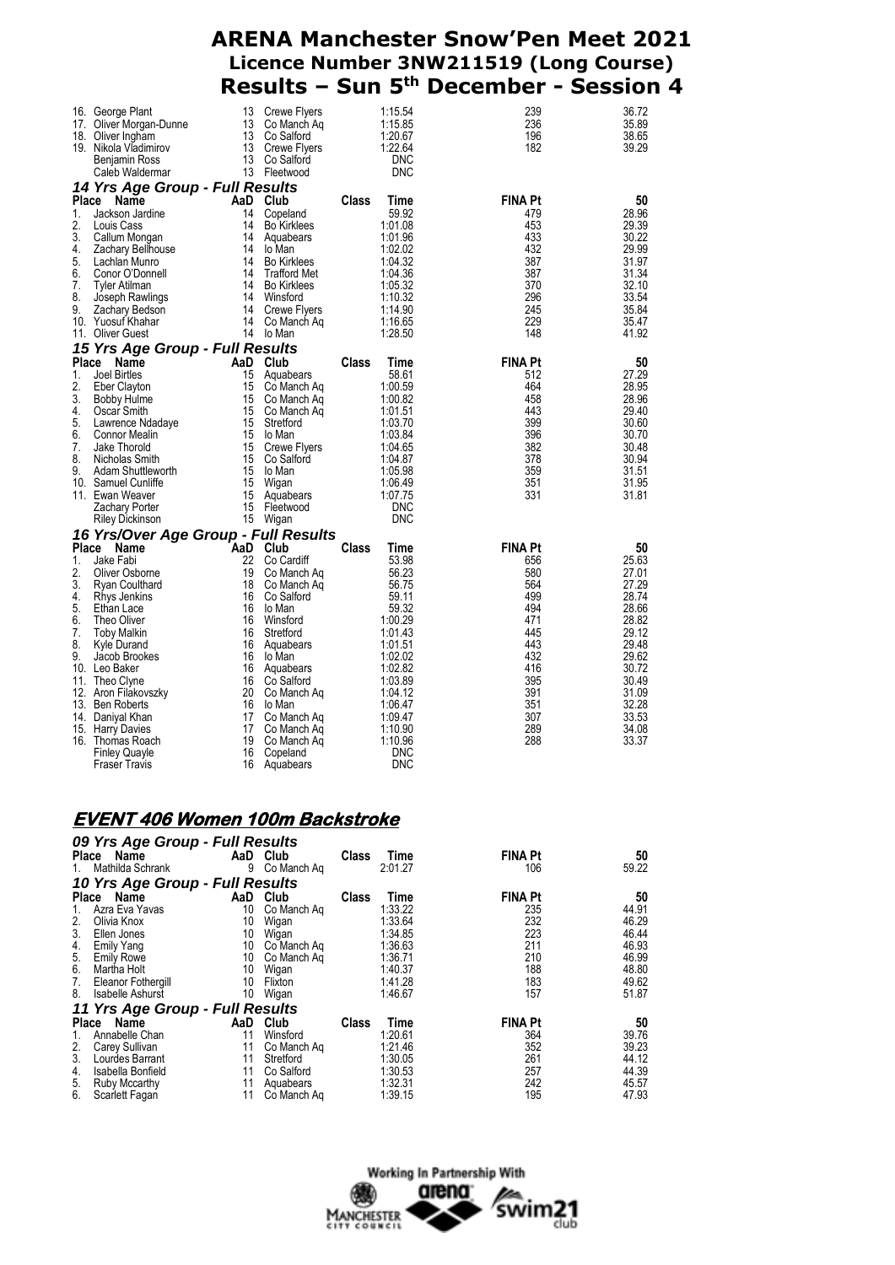|          | 16. George Plant                             | 13       | <b>Crewe Flyers</b>       |       | 1:15.54            | 239            | 36.72          |
|----------|----------------------------------------------|----------|---------------------------|-------|--------------------|----------------|----------------|
|          | 17. Oliver Morgan-Dunne                      | 13       | Co Manch Aq               |       | 1:15.85            | 236            | 35.89          |
|          | 18. Oliver Ingham                            | 13       | Co Salford                |       | 1:20.67            | 196            | 38.65          |
|          | 19. Nikola Vladimirov                        |          | 13 Crewe Flyers           |       | 1:22.64            | 182            | 39.29          |
|          | Benjamin Ross                                | 13       | Co Salford                |       | <b>DNC</b>         |                |                |
|          | Caleb Waldermar                              |          | 13 Fleetwood              |       | <b>DNC</b>         |                |                |
|          |                                              |          |                           |       |                    |                |                |
|          | 14 Yrs Age Group - Full Results              |          |                           |       |                    |                |                |
|          | Place<br>Name                                |          | AaD Club                  | Class | Time               | <b>FINA Pt</b> | 50             |
| 1.       | Jackson Jardine                              | 14       | Copeland                  |       | 59.92              | 479            | 28.96          |
| 2.       | Louis Cass                                   | 14       | <b>Bo Kirklees</b>        |       | 1:01.08            | 453            | 29.39          |
| 3.       | Callum Mongan                                | 14       | Aquabears                 |       | 1:01.96            | 433            | 30.22          |
| 4.       | Zachary Bellhouse                            | 14       | lo Man                    |       | 1:02.02            | 432            | 29.99          |
| 5.       | Lachlan Munro                                | 14       | <b>Bo Kirklees</b>        |       | 1:04.32            | 387            | 31.97          |
| 6.       | Conor O'Donnell                              | 14       | <b>Trafford Met</b>       |       | 1:04.36            | 387            | 31.34          |
| 7.       | Tyler Atilman                                | 14       | <b>Bo Kirklees</b>        |       | 1:05.32            | 370            | 32.10          |
| 8.       | Joseph Rawlings                              | 14       | Winsford                  |       | 1:10.32            | 296            | 33.54          |
| 9.       | Zachary Bedson                               | 14       | Crewe Flyers              |       | 1:14.90            | 245            | 35.84          |
|          | 10. Yuosuf Khahar                            | 14       | Co Manch Aq               |       | 1:16.65            | 229            | 35.47          |
|          | 11. Oliver Guest                             |          | 14 lo Man                 |       | 1:28.50            | 148            | 41.92          |
|          | 15 Yrs Age Group - Full Results              |          |                           |       |                    |                |                |
| Place    | Name                                         |          | AaD Club                  | Class | Time               | <b>FINA Pt</b> | 50             |
| 1.       | Joel Birtles                                 | 15       | Aquabears                 |       | 58.61              | 512            | 27.29          |
| 2.       | Eber Clayton                                 | 15       | Co Manch Aq               |       | 1:00.59            | 464            | 28.95          |
| 3.       | Bobby Hulme                                  | 15       | Co Manch Aq               |       | 1:00.82            | 458            | 28.96          |
| 4.       | Oscar Smith                                  |          | 15 Co Manch Aq            |       | 1:01.51            | 443            | 29.40          |
| 5.       | Lawrence Ndadaye                             | 15       | Stretford                 |       | 1:03.70            | 399            | 30.60          |
| 6.       | <b>Connor Mealin</b>                         | 15       | lo Man                    |       | 1:03.84            | 396            | 30.70          |
| 7.       | Jake Thorold                                 | 15       | Crewe Flyers              |       | 1:04.65            | 382            | 30.48          |
| 8.       | Nicholas Smith                               | 15       | Co Salford                |       | 1:04.87            | 378            | 30.94          |
| 9.       | Adam Shuttleworth                            | 15       | lo Man                    |       | 1:05.98            | 359            | 31.51          |
|          | 10. Samuel Cunliffe                          | 15       | Wigan                     |       | 1:06.49            | 351            | 31.95          |
|          | 11. Ewan Weaver                              | 15       | Aquabears                 |       | 1:07.75            | 331            | 31.81          |
|          | Zachary Porter                               | 15       | Fleetwood                 |       | <b>DNC</b>         |                |                |
|          | Riley Dickinson                              |          | 15 Wigan                  |       | <b>DNC</b>         |                |                |
|          |                                              |          |                           |       |                    |                |                |
| Place    | 16 Yrs/Over Age Group - Full Results<br>Name | AaD      | Club                      | Class | Time               | FINA Pt        | 50             |
| 1.       | Jake Fabi                                    |          |                           |       |                    |                |                |
| 2.       |                                              | 22<br>19 | Co Cardiff                |       | 53.98              | 656            | 25.63          |
| 3.       | Oliver Osborne                               | 18       | Co Manch Aq               |       | 56.23<br>56.75     | 580<br>564     | 27.01<br>27.29 |
| 4.       | Ryan Coulthard                               | 16       | Co Manch Aq               |       | 59.11              | 499            | 28.74          |
| 5.       | Rhys Jenkins                                 | 16       | Co Salford                |       |                    | 494            |                |
| 6.       | Ethan Lace                                   |          | lo Man                    |       | 59.32              | 471            | 28.66<br>28.82 |
|          | Theo Oliver                                  | 16       | Winsford                  |       | 1:00.29            |                |                |
| 7.<br>8. | <b>Toby Malkin</b>                           | 16       | Stretford                 |       | 1:01.43            | 445            | 29.12          |
| 9.       | Kyle Durand<br>Jacob Brookes                 | 16<br>16 | Aquabears<br>lo Man       |       | 1:01.51<br>1:02.02 | 443<br>432     | 29.48<br>29.62 |
|          |                                              | 16       |                           |       | 1:02.82            | 416            | 30.72          |
|          | 10. Leo Baker                                | 16       | Aquabears                 |       |                    |                |                |
|          | 11. Theo Clyne<br>12. Aron Filakovszky       | 20       | Co Saltord<br>Co Manch Ag |       | 1:03.89<br>1:04.12 | 395<br>391     | 30.49<br>31.09 |
|          | 13. Ben Roberts                              | 16       | lo Man                    |       | 1:06.47            | 351            | 32.28          |
|          | 14. Daniyal Khan                             | 17       | Co Manch Aq               |       | 1:09.47            | 307            | 33.53          |
| 15.      |                                              | 17       | Co Manch Ag               |       | 1:10.90            | 289            | 34.08          |
|          | <b>Harry Davies</b><br>16. Thomas Roach      | 19       | Co Manch Aq               |       | 1:10.96            | 288            | 33.37          |
|          | <b>Finley Quayle</b>                         | 16       | Copeland                  |       | <b>DNC</b>         |                |                |
|          | <b>Fraser Travis</b>                         | 16       | Aquabears                 |       | <b>DNC</b>         |                |                |
|          |                                              |          |                           |       |                    |                |                |

### **EVENT 406 Women 100m Backstroke**

| 09 Yrs Age Group - Full Results    |     |             |              |         |                |       |
|------------------------------------|-----|-------------|--------------|---------|----------------|-------|
| Place Name                         |     | AaD Club    | Class        | Time    | <b>FINA Pt</b> | 50    |
| Mathilda Schrank<br>1.             | 9   | Co Manch Ag |              | 2:01.27 | 106            | 59.22 |
| 10 Yrs Age Group - Full Results    |     |             |              |         |                |       |
| Name<br><b>Place</b>               | AaD | Club        | <b>Class</b> | Time    | <b>FINA Pt</b> | 50    |
| Azra Eva Yavas<br>1.               | 10  | Co Manch Aq |              | 1:33.22 | 235            | 44.91 |
| 2.<br>Olivia Knox                  | 10  | Wigan       |              | 1:33.64 | 232            | 46.29 |
| 3.<br>Ellen Jones                  | 10  | Wigan       |              | 1:34.85 | 223            | 46.44 |
| <b>Emily Yang</b>                  | 10  | Co Manch Ag |              | 1:36.63 | 211            | 46.93 |
| $\frac{4}{5}$<br><b>Emily Rowe</b> | 10  | Co Manch Aq |              | 1:36.71 | 210            | 46.99 |
| 6.<br>Martha Holt                  | 10  | Wigan       |              | 1:40.37 | 188            | 48.80 |
| 7.<br>Eleanor Fothergill           | 10  | Flixton     |              | 1:41.28 | 183            | 49.62 |
| 8.<br><b>Isabelle Ashurst</b>      | 10  | Wigan       |              | 1:46.67 | 157            | 51.87 |
| 11 Yrs Age Group - Full Results    |     |             |              |         |                |       |
| Name<br><b>Place</b>               | AaD | Club        | Class        | Time    | <b>FINA Pt</b> | 50    |
| Annabelle Chan<br>1.               | 11  | Winsford    |              | 1:20.61 | 364            | 39.76 |
| 2.<br>Carey Sullivan               | 11  | Co Manch Ag |              | 1:21.46 | 352            | 39.23 |
| 3.<br>Lourdes Barrant              | 11  | Stretford   |              | 1:30.05 | 261            | 44.12 |
| 4.<br>Isabella Bonfield            | 11  | Co Salford  |              | 1:30.53 | 257            | 44.39 |
| 5.<br>Ruby Mccarthy                | 11  | Aquabears   |              | 1:32.31 | 242            | 45.57 |
| 6.<br>Scarlett Fagan               | 11  | Co Manch Ag |              | 1:39.15 | 195            | 47.93 |